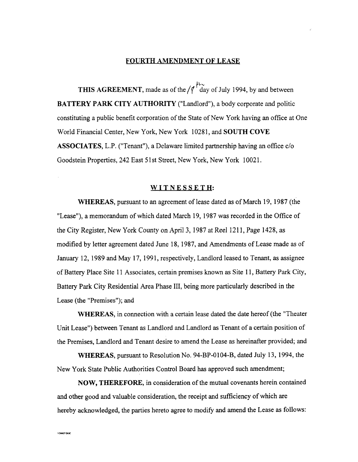## FOURTH AMENDMENT OF LEASE

THIS AGREEMENT, made as of the  $/$   $\sqrt{\frac{h_{\gamma}}{4}}$  day of July 1994, by and between BATTERY PARK CITY AUTHORITY ("Landlord"), a body corporate and politic constituting a public benefit corporation of the State of New York having an office at One World Financial Center, New York, New York 10281, and SOUTH COVE ASSOCIATES, L.P. ("Tenant"), a Delaware limited partnership having an office c/o Goodstein Properties, 242 East 51st Street, New York, New York 10021.

## WITNESSETH:

WHEREAS, pursuant to an agreement of lease dated as of March 19, 1987 (the "Lease"), a memorandum of which dated March 19, 1987 was recorded in the Office of the City Register, New York County on April 3, 1987 at Reel 1211, Page 1428, as modified by letter agreement dated June 18,1987, and Amendments of Lease made as of January 12, 1989 and May 17, 1991, respectively, Landlord leased to Tenant, as assignee of Battery Place Site 11 Associates, certain premises known as Site 11, Battery Park City, Battery Park City Residential Area Phase 111, being more particularly described in the Lease (the "Premises"); and

WHEREAS, in connection with a certain lease dated the date hereof (the "Theater Unit Lease") between Tenant as Landlord and Landlord as Tenant of a certain position of the Premises, Landlord and Tenant desire to amend the Lease as hereinafter provided; and

WHEREAS, pursuant to Resolution No. 94-BP-0104-B, dated July 13, 1994, the New York State Public Authorities Control Board has approved such amendment;

NOW, THEREFORE, in consideration of the mutual covenants herein contained and other good and valuable consideration, the receipt and sufficiency of which are hereby acknowledged, the parties hereto agree to modify and amend the Lease as follows:

**VD0027.DO**